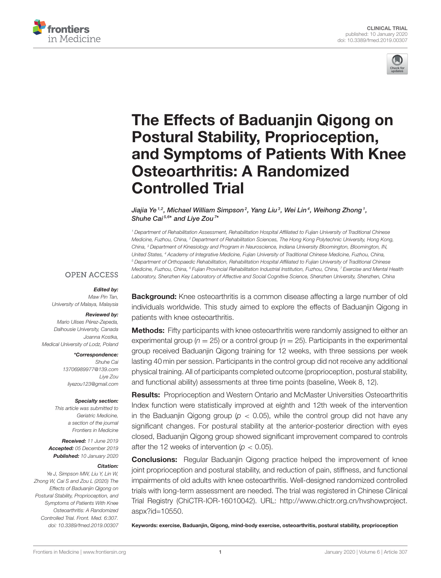



# The Effects of Baduanjin Qigong on Postural Stability, Proprioception, [and Symptoms of Patients With Knee](https://www.frontiersin.org/articles/10.3389/fmed.2019.00307/full) Osteoarthritis: A Randomized Controlled Trial

[Jiajia Ye](http://loop.frontiersin.org/people/604578/overview) $^{1,2}$ , Michael William Simpson $^2$ , Yang Liu $^3$ , Wei Lin $^4$ , Weihong Zhong $^1$ , Shuhe Cai<sup>5,6\*</sup> and [Liye Zou](http://loop.frontiersin.org/people/725289/overview)<sup>7\*</sup>

<sup>1</sup> Department of Rehabilitation Assessment, Rehabilitation Hospital Affiliated to Fujian University of Traditional Chinese Medicine, Fuzhou, China, <sup>2</sup> Department of Rehabilitation Sciences, The Hong Kong Polytechnic University, Hong Kong, China, <sup>3</sup> Department of Kinesiology and Program in Neuroscience, Indiana University Bloomington, Bloomington, IN, United States, <sup>4</sup> Academy of Integrative Medicine, Fujian University of Traditional Chinese Medicine, Fuzhou, China, <sup>5</sup> Department of Orthopaedic Rehabilitation, Rehabilitation Hospital Affiliated to Fujian University of Traditional Chinese Medicine, Fuzhou, China, <sup>6</sup> Fujian Provincial Rehabilitation Industrial Institution, Fuzhou, China, <sup>7</sup> Exercise and Mental Health Laboratory, Shenzhen Key Laboratory of Affective and Social Cognitive Science, Shenzhen University, Shenzhen, China

## **OPEN ACCESS**

#### Edited by:

Maw Pin Tan, University of Malaya, Malaysia

#### Reviewed by:

Mario Ulises Pérez-Zepeda, Dalhousie University, Canada Joanna Kostka, Medical University of Lodz, Poland

#### \*Correspondence:

Shuhe Cai [13706989977@139.com](mailto:13706989977@139.com) Liye Zou [liyezou123@gmail.com](mailto:liyezou123@gmail.com)

#### Specialty section:

This article was submitted to Geriatric Medicine, a section of the journal Frontiers in Medicine

Received: 11 June 2019 Accepted: 05 December 2019 Published: 10 January 2020

#### Citation:

Ye J, Simpson MW, Liu Y, Lin W, Zhong W, Cai S and Zou L (2020) The Effects of Baduanjin Qigong on Postural Stability, Proprioception, and Symptoms of Patients With Knee Osteoarthritis: A Randomized Controlled Trial. Front. Med. 6:307. doi: [10.3389/fmed.2019.00307](https://doi.org/10.3389/fmed.2019.00307)

**Background:** Knee osteoarthritis is a common disease affecting a large number of old individuals worldwide. This study aimed to explore the effects of Baduanjin Qigong in patients with knee osteoarthritis.

**Methods:** Fifty participants with knee osteoarthritis were randomly assigned to either an experimental group ( $n = 25$ ) or a control group ( $n = 25$ ). Participants in the experimental group received Baduanjin Qigong training for 12 weeks, with three sessions per week lasting 40 min per session. Participants in the control group did not receive any additional physical training. All of participants completed outcome (proprioception, postural stability, and functional ability) assessments at three time points (baseline, Week 8, 12).

Results: Proprioception and Western Ontario and McMaster Universities Osteoarthritis Index function were statistically improved at eighth and 12th week of the intervention in the Baduanjin Qigong group ( $p < 0.05$ ), while the control group did not have any significant changes. For postural stability at the anterior-posterior direction with eyes closed, Baduanjin Qigong group showed significant improvement compared to controls after the 12 weeks of intervention ( $p < 0.05$ ).

**Conclusions:** Regular Baduanjin Qigong practice helped the improvement of knee joint proprioception and postural stability, and reduction of pain, stiffness, and functional impairments of old adults with knee osteoarthritis. Well-designed randomized controlled trials with long-term assessment are needed. The trial was registered in Chinese Clinical Trial Registry (ChiCTR-IOR-16010042). URL: [http://www.chictr.org.cn/hvshowproject.](http://www.chictr.org.cn/hvshowproject.aspx?id=10550) [aspx?id=10550.](http://www.chictr.org.cn/hvshowproject.aspx?id=10550)

Keywords: exercise, Baduanjin, Qigong, mind-body exercise, osteoarthritis, postural stability, proprioception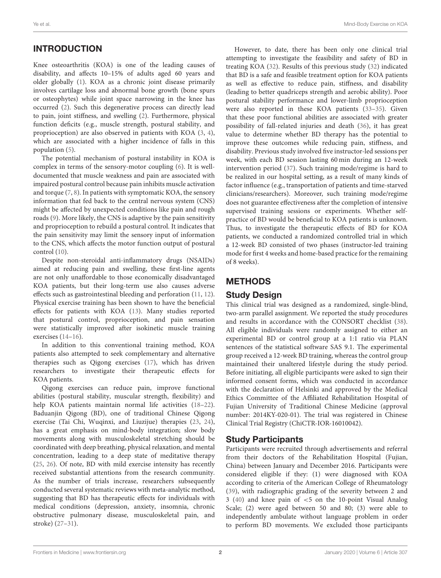# INTRODUCTION

Knee osteoarthritis (KOA) is one of the leading causes of disability, and affects 10–15% of adults aged 60 years and older globally [\(1\)](#page-7-0). KOA as a chronic joint disease primarily involves cartilage loss and abnormal bone growth (bone spurs or osteophytes) while joint space narrowing in the knee has occurred [\(2\)](#page-7-1). Such this degenerative process can directly lead to pain, joint stiffness, and swelling [\(2\)](#page-7-1). Furthermore, physical function deficits (e.g., muscle strength, postural stability, and proprioception) are also observed in patients with KOA [\(3,](#page-7-2) [4\)](#page-7-3), which are associated with a higher incidence of falls in this population [\(5\)](#page-7-4).

The potential mechanism of postural instability in KOA is complex in terms of the sensory-motor coupling [\(6\)](#page-7-5). It is welldocumented that muscle weakness and pain are associated with impaired postural control because pain inhibits muscle activation and torque [\(7,](#page-7-6) [8\)](#page-7-7). In patients with symptomatic KOA, the sensory information that fed back to the central nervous system (CNS) might be affected by unexpected conditions like pain and rough roads [\(9\)](#page-7-8). More likely, the CNS is adaptive by the pain sensitivity and proprioception to rebuild a postural control. It indicates that the pain sensitivity may limit the sensory input of information to the CNS, which affects the motor function output of postural control [\(10\)](#page-7-9).

Despite non-steroidal anti-inflammatory drugs (NSAIDs) aimed at reducing pain and swelling, these first-line agents are not only unaffordable to those economically disadvantaged KOA patients, but their long-term use also causes adverse effects such as gastrointestinal bleeding and perforation [\(11,](#page-7-10) [12\)](#page-7-11). Physical exercise training has been shown to have the beneficial effects for patients with KOA [\(13\)](#page-7-12). Many studies reported that postural control, proprioception, and pain sensation were statistically improved after isokinetic muscle training exercises [\(14–](#page-7-13)[16\)](#page-7-14).

In addition to this conventional training method, KOA patients also attempted to seek complementary and alternative therapies such as Qigong exercises [\(17\)](#page-7-15), which has driven researchers to investigate their therapeutic effects for KOA patients.

Qigong exercises can reduce pain, improve functional abilities (postural stability, muscular strength, flexibility) and help KOA patients maintain normal life activities (18-[22\)](#page-7-17). Baduanjin Qigong (BD), one of traditional Chinese Qigong exercise (Tai Chi, Wuqinxi, and Liuzijue) therapies [\(23,](#page-7-18) [24\)](#page-7-19), has a great emphasis on mind-body integration; slow body movements along with musculoskeletal stretching should be coordinated with deep breathing, physical relaxation, and mental concentration, leading to a deep state of meditative therapy [\(25,](#page-7-20) [26\)](#page-7-21). Of note, BD with mild exercise intensity has recently received substantial attentions from the research community. As the number of trials increase, researchers subsequently conducted several systematic reviews with meta-analytic method, suggesting that BD has therapeutic effects for individuals with medical conditions (depression, anxiety, insomnia, chronic obstructive pulmonary disease, musculoskeletal pain, and stroke) [\(27–](#page-8-0)[31\)](#page-8-1).

However, to date, there has been only one clinical trial attempting to investigate the feasibility and safety of BD in treating KOA [\(32\)](#page-8-2). Results of this previous study [\(32\)](#page-8-2) indicated that BD is a safe and feasible treatment option for KOA patients as well as effective to reduce pain, stiffness, and disability (leading to better quadriceps strength and aerobic ability). Poor postural stability performance and lower-limb proprioception were also reported in these KOA patients [\(33](#page-8-3)[–35\)](#page-8-4). Given that these poor functional abilities are associated with greater possibility of fall-related injuries and death [\(36\)](#page-8-5), it has great value to determine whether BD therapy has the potential to improve these outcomes while reducing pain, stiffness, and disability. Previous study involved five instructor-led sessions per week, with each BD session lasting 60 min during an 12-week intervention period [\(37\)](#page-8-6). Such training mode/regime is hard to be realized in our hospital setting, as a result of many kinds of factor influence (e.g., transportation of patients and time-starved clinicians/researchers). Moreover, such training mode/regime does not guarantee effectiveness after the completion of intensive supervised training sessions or experiments. Whether selfpractice of BD would be beneficial to KOA patients is unknown. Thus, to investigate the therapeutic effects of BD for KOA patients, we conducted a randomized controlled trial in which a 12-week BD consisted of two phases (instructor-led training mode for first 4 weeks and home-based practice for the remaining of 8 weeks).

# **METHODS**

# Study Design

This clinical trial was designed as a randomized, single-blind, two-arm parallel assignment. We reported the study procedures and results in accordance with the CONSORT checklist [\(38\)](#page-8-7). All eligible individuals were randomly assigned to either an experimental BD or control group at a 1:1 ratio via PLAN sentences of the statistical software SAS 9.1. The experimental group received a 12-week BD training, whereas the control group maintained their unaltered lifestyle during the study period. Before initiating, all eligible participants were asked to sign their informed consent forms, which was conducted in accordance with the declaration of Helsinki and approved by the Medical Ethics Committee of the Affiliated Rehabilitation Hospital of Fujian University of Traditional Chinese Medicine (approval number: 2014KY-020-01). The trial was registered in Chinese Clinical Trial Registry (ChiCTR-IOR-16010042).

# Study Participants

Participants were recruited through advertisements and referral from their doctors of the Rehabilitation Hospital (Fujian, China) between January and December 2016. Participants were considered eligible if they: (1) were diagnosed with KOA according to criteria of the American College of Rheumatology [\(39\)](#page-8-8), with radiographic grading of the severity between 2 and 3 [\(40\)](#page-8-9) and knee pain of <5 on the 10-point Visual Analog Scale; (2) were aged between 50 and 80; (3) were able to independently ambulate without language problem in order to perform BD movements. We excluded those participants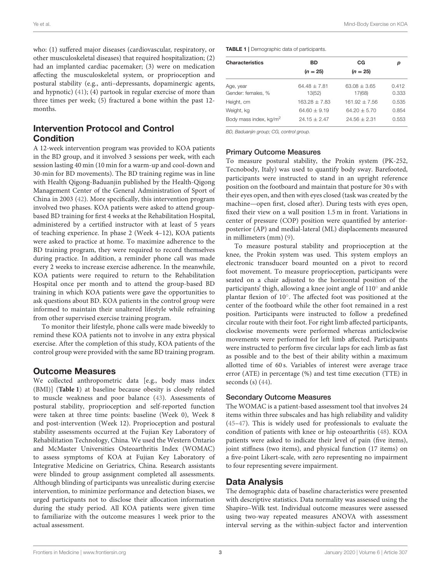who: (1) suffered major diseases (cardiovascular, respiratory, or other musculoskeletal diseases) that required hospitalization; (2) had an implanted cardiac pacemaker; (3) were on medication affecting the musculoskeletal system, or proprioception and postural stability (e.g., anti–depressants, dopaminergic agents, and hypnotic) [\(41\)](#page-8-10); (4) partook in regular exercise of more than three times per week; (5) fractured a bone within the past 12 months.

## Intervention Protocol and Control **Condition**

A 12-week intervention program was provided to KOA patients in the BD group, and it involved 3 sessions per week, with each session lasting 40 min (10 min for a warm-up and cool-down and 30-min for BD movements). The BD training regime was in line with Health Qigong-Baduanjin published by the Health-Qigong Management Center of the General Administration of Sport of China in 2003 [\(42\)](#page-8-11). More specifically, this intervention program involved two phases. KOA patients were asked to attend groupbased BD training for first 4 weeks at the Rehabilitation Hospital, administered by a certified instructor with at least of 5 years of teaching experience. In phase 2 (Week 4–12), KOA patients were asked to practice at home. To maximize adherence to the BD training program, they were required to record themselves during practice. In addition, a reminder phone call was made every 2 weeks to increase exercise adherence. In the meanwhile, KOA patients were required to return to the Rehabilitation Hospital once per month and to attend the group-based BD training in which KOA patients were gave the opportunities to ask questions about BD. KOA patients in the control group were informed to maintain their unaltered lifestyle while refraining from other supervised exercise training program.

To monitor their lifestyle, phone calls were made biweekly to remind these KOA patients not to involve in any extra physical exercise. After the completion of this study, KOA patients of the control group were provided with the same BD training program.

#### Outcome Measures

We collected anthropometric data [e.g., body mass index (BMI)] (**[Table 1](#page-2-0)**) at baseline because obesity is closely related to muscle weakness and poor balance [\(43\)](#page-8-12). Assessments of postural stability, proprioception and self-reported function were taken at three time points: baseline (Week 0), Week 8 and post-intervention (Week 12). Proprioception and postural stability assessments occurred at the Fujian Key Laboratory of Rehabilitation Technology, China. We used the Western Ontario and McMaster Universities Osteoarthritis Index (WOMAC) to assess symptoms of KOA at Fujian Key Laboratory of Integrative Medicine on Geriatrics, China. Research assistants were blinded to group assignment completed all assessments. Although blinding of participants was unrealistic during exercise intervention, to minimize performance and detection biases, we urged participants not to disclose their allocation information during the study period. All KOA patients were given time to familiarize with the outcome measures 1 week prior to the actual assessment.

<span id="page-2-0"></span>TABLE 1 | Demographic data of participants.

| <b>Characteristics</b>             | BD               | CG              | р     |  |
|------------------------------------|------------------|-----------------|-------|--|
|                                    | $(n = 25)$       | $(n = 25)$      |       |  |
| Age, year                          | $64.48 \pm 7.81$ | $63.08 + 3.65$  | 0.412 |  |
| Gender: females, %                 | 13(52)           | 17(68)          | 0.333 |  |
| Height, cm                         | $163.28 + 7.83$  | $161.92 + 7.56$ | 0.535 |  |
| Weight, kg                         | $64.60 + 9.19$   | $64.20 + 5.70$  | 0.854 |  |
| Body mass index, kg/m <sup>2</sup> | $24.15 + 2.47$   | $24.56 + 2.31$  | 0.553 |  |

BD, Baduanjin group; CG, control group.

#### Primary Outcome Measures

To measure postural stability, the Prokin system (PK-252, Tecnobody, Italy) was used to quantify body sway. Barefooted, participants were instructed to stand in an upright reference position on the footboard and maintain that posture for 30 s with their eyes open, and then with eyes closed (task was created by the machine—open first, closed after). During tests with eyes open, fixed their view on a wall position 1.5 m in front. Variations in center of pressure (COP) position were quantified by anteriorposterior (AP) and medial-lateral (ML) displacements measured in millimeters (mm) [\(9\)](#page-7-8).

To measure postural stability and proprioception at the knee, the Prokin system was used. This system employs an electronic transducer board mounted on a pivot to record foot movement. To measure proprioception, participants were seated on a chair adjusted to the horizontal position of the participants' thigh, allowing a knee joint angle of 110° and ankle plantar flexion of 10◦ . The affected foot was positioned at the center of the footboard while the other foot remained in a rest position. Participants were instructed to follow a predefined circular route with their foot. For right limb affected participants, clockwise movements were performed whereas anticlockwise movements were performed for left limb affected. Participants were instructed to perform five circular laps for each limb as fast as possible and to the best of their ability within a maximum allotted time of 60 s. Variables of interest were average trace error (ATE) in percentage (%) and test time execution (TTE) in seconds  $(s)$   $(44)$ .

#### Secondary Outcome Measures

The WOMAC is a patient-based assessment tool that involves 24 items within three subscales and has high reliability and validity [\(45](#page-8-14)[–47\)](#page-8-15). This is widely used for professionals to evaluate the condition of patients with knee or hip osteoarthritis [\(48\)](#page-8-16). KOA patients were asked to indicate their level of pain (five items), joint stiffness (two items), and physical function (17 items) on a five-point Likert-scale, with zero representing no impairment to four representing severe impairment.

#### Data Analysis

The demographic data of baseline characteristics were presented with descriptive statistics. Data normality was assessed using the Shapiro–Wilk test. Individual outcome measures were assessed using two-way repeated measures ANOVA with assessment interval serving as the within-subject factor and intervention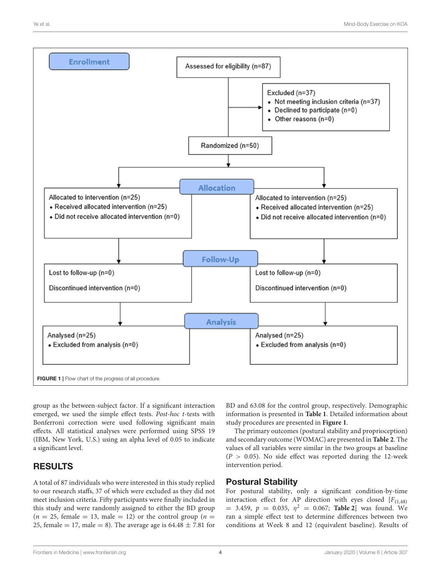

<span id="page-3-0"></span>group as the between-subject factor. If a significant interaction emerged, we used the simple effect tests. Post-hoc t-tests with Bonferroni correction were used following significant main effects. All statistical analyses were performed using SPSS 19 (IBM, New York, U.S.) using an alpha level of 0.05 to indicate a significant level.

# RESULTS

A total of 87 individuals who were interested in this study replied to our research staffs, 37 of which were excluded as they did not meet inclusion criteria. Fifty participants were finally included in this study and were randomly assigned to either the BD group  $(n = 25, \text{ female} = 13, \text{ male} = 12)$  or the control group  $(n = 15, \text{ female} = 13)$ 25, female = 17, male = 8). The average age is  $64.48 \pm 7.81$  for BD and 63.08 for the control group, respectively. Demographic information is presented in **[Table 1](#page-2-0)**. Detailed information about study procedures are presented in **[Figure 1](#page-3-0)**.

The primary outcomes (postural stability and proprioception) and secondary outcome (WOMAC) are presented in **[Table 2](#page-4-0)**. The values of all variables were similar in the two groups at baseline  $(P > 0.05)$ . No side effect was reported during the 12-week intervention period.

# Postural Stability

For postural stability, only a significant condition-by-time interaction effect for AP direction with eyes closed  $[F_{(1,48)}]$  $= 3.459, p = 0.035, \eta^2 = 0.067;$  **[Table 2](#page-4-0)** was found. We ran a simple effect test to determine differences between two conditions at Week 8 and 12 (equivalent baseline). Results of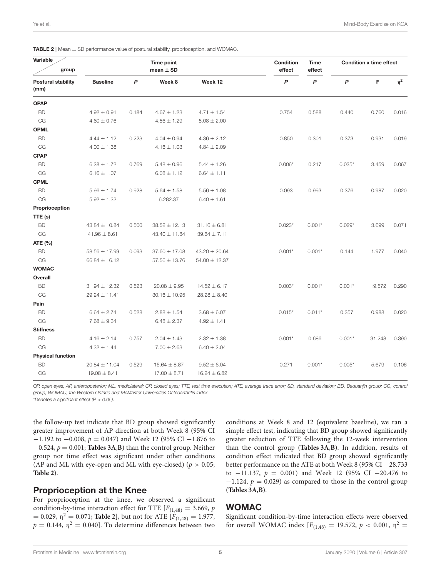| Variable<br>group                 |                   | Time point<br>mean $\pm$ SD |                   |                   | Condition<br>effect | <b>Time</b><br>effect |                  | <b>Condition x time effect</b> |          |
|-----------------------------------|-------------------|-----------------------------|-------------------|-------------------|---------------------|-----------------------|------------------|--------------------------------|----------|
| <b>Postural stability</b><br>(mm) | <b>Baseline</b>   | P                           | Week 8            | Week 12           | P                   | $\boldsymbol{P}$      | $\boldsymbol{P}$ | F                              | $\eta^2$ |
| <b>OPAP</b>                       |                   |                             |                   |                   |                     |                       |                  |                                |          |
| <b>BD</b>                         | $4.92 \pm 0.91$   | 0.184                       | $4.67 \pm 1.23$   | $4.71 \pm 1.54$   | 0.754               | 0.588                 | 0.440            | 0.760                          | 0.016    |
| CG                                | $4.60 \pm 0.76$   |                             | $4.56 \pm 1.29$   | $5.08 \pm 2.00$   |                     |                       |                  |                                |          |
| <b>OPML</b>                       |                   |                             |                   |                   |                     |                       |                  |                                |          |
| <b>BD</b>                         | $4.44 \pm 1.12$   | 0.223                       | $4.04 \pm 0.94$   | $4.36 \pm 2.12$   | 0.850               | 0.301                 | 0.373            | 0.931                          | 0.019    |
| CG                                | $4.00 \pm 1.38$   |                             | $4.16 \pm 1.03$   | $4.84 \pm 2.09$   |                     |                       |                  |                                |          |
| <b>CPAP</b>                       |                   |                             |                   |                   |                     |                       |                  |                                |          |
| <b>BD</b>                         | $6.28 \pm 1.72$   | 0.769                       | $5.48 \pm 0.96$   | $5.44 \pm 1.26$   | $0.006*$            | 0.217                 | $0.035*$         | 3.459                          | 0.067    |
| CG                                | $6.16 \pm 1.07$   |                             | $6.08 \pm 1.12$   | $6.64 \pm 1.11$   |                     |                       |                  |                                |          |
| <b>CPML</b>                       |                   |                             |                   |                   |                     |                       |                  |                                |          |
| <b>BD</b>                         | $5.96 \pm 1.74$   | 0.928                       | $5.64 \pm 1.58$   | $5.56 \pm 1.08$   | 0.093               | 0.993                 | 0.376            | 0.987                          | 0.020    |
| CG                                | $5.92 \pm 1.32$   |                             | 6.282.37          | $6.40 \pm 1.61$   |                     |                       |                  |                                |          |
| Proprioception                    |                   |                             |                   |                   |                     |                       |                  |                                |          |
| TTE (s)                           |                   |                             |                   |                   |                     |                       |                  |                                |          |
| <b>BD</b>                         | $43.84 \pm 10.84$ | 0.500                       | $38.52 \pm 12.13$ | $31.16 \pm 6.81$  | $0.023*$            | $0.001*$              | $0.029*$         | 3.699                          | 0.071    |
| CG                                | $41.96 \pm 8.61$  |                             | $43.40 \pm 11.84$ | $39.64 \pm 7.11$  |                     |                       |                  |                                |          |
| ATE (%)                           |                   |                             |                   |                   |                     |                       |                  |                                |          |
| <b>BD</b>                         | $58.56 \pm 17.99$ | 0.093                       | $37.60 \pm 17.08$ | $43.20 \pm 20.64$ | $0.001*$            | $0.001*$              | 0.144            | 1.977                          | 0.040    |
| CG                                | $66.84 \pm 16.12$ |                             | $57.56 \pm 13.76$ | $54.00 \pm 12.37$ |                     |                       |                  |                                |          |
| <b>WOMAC</b>                      |                   |                             |                   |                   |                     |                       |                  |                                |          |
| Overall                           |                   |                             |                   |                   |                     |                       |                  |                                |          |
| <b>BD</b>                         | $31.94 \pm 12.32$ | 0.523                       | $20.08 \pm 9.95$  | $14.52 \pm 6.17$  | $0.003*$            | $0.001*$              | $0.001*$         | 19.572                         | 0.290    |
| CG                                | $29.24 \pm 11.41$ |                             | $30.16 \pm 10.95$ | $28.28 \pm 8.40$  |                     |                       |                  |                                |          |
| Pain                              |                   |                             |                   |                   |                     |                       |                  |                                |          |
| <b>BD</b>                         | $6.64 \pm 2.74$   | 0.528                       | $2.88 \pm 1.54$   | $3.68 \pm 6.07$   | $0.015*$            | $0.011*$              | 0.357            | 0.988                          | 0.020    |
| CG                                | $7.68 \pm 9.34$   |                             | $6.48 \pm 2.37$   | $4.92 \pm 1.41$   |                     |                       |                  |                                |          |
| <b>Stiffness</b>                  |                   |                             |                   |                   |                     |                       |                  |                                |          |
| <b>BD</b>                         | $4.16 \pm 2.14$   | 0.757                       | $2.04 \pm 1.43$   | $2.32 \pm 1.38$   | $0.001*$            | 0.686                 | $0.001*$         | 31.248                         | 0.390    |
| CG                                | $4.32 \pm 1.44$   |                             | $7.00 \pm 2.63$   | $6.40 \pm 2.04$   |                     |                       |                  |                                |          |
| <b>Physical function</b>          |                   |                             |                   |                   |                     |                       |                  |                                |          |
| <b>BD</b>                         | $20.84 \pm 11.04$ | 0.529                       | $15.64 \pm 8.87$  | $9.52 \pm 6.04$   | 0.271               | $0.001*$              | $0.005*$         | 5.679                          | 0.106    |
| CG                                | $19.08 \pm 8.41$  |                             | $17.00 \pm 8.71$  | $16.24 \pm 6.82$  |                     |                       |                  |                                |          |

<span id="page-4-0"></span>**TABLE 2** | Mean  $\pm$  SD performance value of postural stability, proprioception, and WOMAC.

OP, open eyes; AP, anteroposterior; ML, mediolateral; CP, closed eyes; TTE, test time execution; ATE, average trace error; SD, standard deviation; BD, Baduanjin group; CG, control group; WOMAC, the Western Ontario and McMaster Universities Osteoarthritis Index.

\*Denotes a significant effect ( $P < 0.05$ ).

the follow-up test indicate that BD group showed significantly greater improvement of AP direction at both Week 8 (95% CI  $-1.192$  to  $-0.008$ ,  $p = 0.047$ ) and Week 12 (95% CI  $-1.876$  to −0.524, p = 0.001; **[Tables 3A](#page-5-0)**,**[B](#page-6-0)**) than the control group. Neither group nor time effect was significant under other conditions (AP and ML with eye-open and ML with eye-closed) ( $p > 0.05$ ; **[Table 2](#page-4-0)**).

#### Proprioception at the Knee

For proprioception at the knee, we observed a significant condition-by-time interaction effect for TTE  $[F_{(1,48)} = 3.669, p$  $= 0.029$ ,  $\eta^2 = 0.071$ ; **[Table 2](#page-4-0)**], but not for ATE  $[F_{(1,48)} = 1.977$ ,  $p = 0.144$ ,  $\eta^2 = 0.040$ . To determine differences between two

conditions at Week 8 and 12 (equivalent baseline), we ran a simple effect test, indicating that BD group showed significantly greater reduction of TTE following the 12-week intervention than the control group (**[Tables 3A](#page-5-0)**,**[B](#page-6-0)**). In addition, results of condition effect indicated that BD group showed significantly better performance on the ATE at both Week 8 (95% CI −28.733 to −11.137,  $p = 0.001$ ) and Week 12 (95% CI −20.476 to  $-1.124$ ,  $p = 0.029$ ) as compared to those in the control group (**[Tables 3A](#page-5-0)**,**[B](#page-6-0)**).

#### **WOMAC**

Significant condition-by-time interaction effects were observed for overall WOMAC index  $[F(1,48) = 19.572, p < 0.001, \eta^2$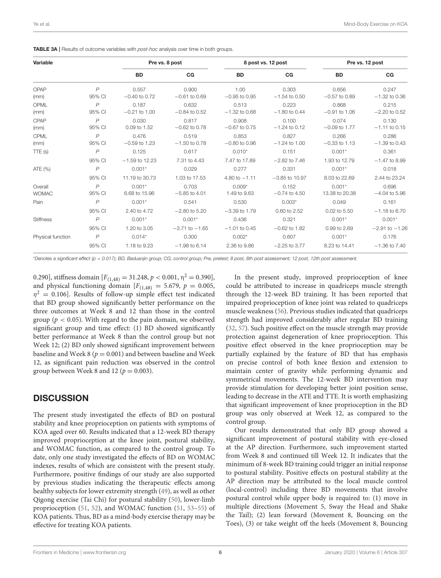<span id="page-5-0"></span>

| Variable          |                | Pre vs. 8 post   |                    | 8 post vs. 12 post |                   | Pre vs. 12 post |                    |
|-------------------|----------------|------------------|--------------------|--------------------|-------------------|-----------------|--------------------|
|                   |                | <b>BD</b>        | CG                 | <b>BD</b>          | CG                | <b>BD</b>       | CG                 |
| OPAP              | $\overline{P}$ | 0.557            | 0.900              | 1.00               | 0.303             | 0.656           | 0.247              |
| (mm)              | 95% CI         | $-0.40$ to 0.72  | $-0.61$ to 0.69    | $-0.95$ to 0.95    | $-1.54$ to 0.50   | $-0.57$ to 0.89 | $-1.32$ to 0.36    |
| OPML              | $\overline{P}$ | 0.187            | 0.632              | 0.513              | 0.223             | 0.868           | 0.215              |
| (mm)              | 95% CI         | $-0.21$ to 1.00  | $-0.84$ to 0.52    | $-1.32$ to 0.68    | $-1.80$ to 0.44   | $-0.91$ to 1.06 | $-2.20$ to 0.52    |
| CPAP              | $\overline{P}$ | 0.030            | 0.817              | 0.908              | 0.100             | 0.074           | 0.130              |
| (mm)              | 95% CI         | 0.09 to 1.52     | $-0.62$ to 0.78    | $-0.67$ to 0.75    | $-1.24$ to 0.12   | $-0.09$ to 1.77 | $-1.11$ to 0.15    |
| CPML              | $\overline{P}$ | 0.476            | 0.519              | 0.853              | 0.827             | 0.266           | 0.286              |
| (mm)              | 95% CI         | $-0.59$ to 1.23  | $-1.50$ to 0.78    | $-0.80$ to $0.96$  | $-1.24$ to $1.00$ | $-0.33$ to 1.13 | $-1.39$ to 0.43    |
| TTE(s)            | $\overline{P}$ | 0.125            | 0.617              | $0.010*$           | 0.151             | $0.001*$        | 0.361              |
|                   | 95% CI         | $-1.59$ to 12.23 | 7.31 to 4.43       | 7.47 to 17.89      | $-2.82$ to $7.46$ | 1.93 to 12.79   | $-1.47$ to 8.99    |
| ATE (%)           | $\overline{P}$ | $0.001*$         | 0.029              | 0.277              | 0.331             | $0.001*$        | 0.018              |
|                   | 95% CI         | 11.19 to 30.73   | 1.03 to 17.53      | 4.80 to $-1.11$    | $-3.85$ to 10.97  | 8.03 to 22.69   | 2.44 to 23.24      |
| Overall           | $\overline{P}$ | $0.001*$         | 0.703              | $0.009*$           | 0.152             | $0.001*$        | 0.696              |
| <b>WOMAC</b>      | 95% CI         | 6.68 to 15.96    | $-5.85$ to 4.01    | 1.49 to 9.63       | $-0.74$ to 4.50   | 13.38 to 20.38  | $-4.04$ to 5.96    |
| Pain              | $\overline{P}$ | $0.001*$         | 0.541              | 0.530              | $0.003*$          | 0.049           | 0.161              |
|                   | 95% CI         | 2.40 to 4.72     | $-2.80$ to 5.20    | $-3.39$ to 1.79    | 0.60 to 2.52      | 0.02 to 5.50    | $-1.18$ to 6.70    |
| <b>Stiffness</b>  | $\overline{P}$ | $0.001*$         | $0.001*$           | 0.436              | 0.321             | $0.001*$        | $0.001*$           |
|                   | 95% CI         | 1.20 to 3.05     | $-3.71$ to $-1.65$ | $-1.01$ to 0.45    | $-0.62$ to 1.82   | 0.99 to 2.69    | $-2.91$ to $-1.26$ |
| Physical function | $\overline{P}$ | $0.014*$         | 0.300              | $0.002*$           | 0.607             | $0.001*$        | 0.176              |
|                   | 95% CI         | 1.18 to 9.23     | $-1.98$ to 6.14    | 2.36 to 9.86       | $-2.25$ to 3.77   | 8.23 to 14.41   | $-1.36$ to $7.40$  |

\*Denotes a significant effect (p < 0.017); BD, Baduanjin group; CG, control group; Pre, pretest; 8 post, 8th post assessment; 12 post, 12th post assessment.

0.290], stiffness domain  $[F_{(1,48)} = 31.248, p < 0.001, \eta^2 = 0.390]$ , and physical functioning domain  $[F(1,48) = 5.679, p = 0.005,$  $\eta^2 = 0.106$ ]. Results of follow-up simple effect test indicated that BD group showed significantly better performance on the three outcomes at Week 8 and 12 than those in the control group ( $p < 0.05$ ). With regard to the pain domain, we observed significant group and time effect: (1) BD showed significantly better performance at Week 8 than the control group but not Week 12; (2) BD only showed significant improvement between baseline and Week 8 ( $p = 0.001$ ) and between baseline and Week 12, as significant pain reduction was observed in the control group between Week 8 and 12 ( $p = 0.003$ ).

## **DISCUSSION**

The present study investigated the effects of BD on postural stability and knee proprioception on patients with symptoms of KOA aged over 60. Results indicated that a 12-week BD therapy improved proprioception at the knee joint, postural stability, and WOMAC function, as compared to the control group. To date, only one study investigated the effects of BD on WOMAC indexes, results of which are consistent with the present study. Furthermore, positive findings of our study are also supported by previous studies indicating the therapeutic effects among healthy subjects for lower extremity strength [\(49\)](#page-8-17), as well as other Qigong exercise (Tai Chi) for postural stability [\(50\)](#page-8-18), lower-limb proprioception [\(51,](#page-8-19) [52\)](#page-8-20), and WOMAC function [\(51,](#page-8-19) [53–](#page-8-21)[55\)](#page-8-22) of KOA patients. Thus, BD as a mind-body exercise therapy may be effective for treating KOA patients.

In the present study, improved proprioception of knee could be attributed to increase in quadriceps muscle strength through the 12-week BD training. It has been reported that impaired proprioception of knee joint was related to quadriceps muscle weakness [\(56\)](#page-8-23). Previous studies indicated that quadriceps strength had improved considerably after regular BD training [\(32,](#page-8-2) [57\)](#page-8-24). Such positive effect on the muscle strength may provide protection against degeneration of knee proprioception. This positive effect observed in the knee proprioception may be partially explained by the feature of BD that has emphasis on precise control of both knee flexion and extension to maintain center of gravity while performing dynamic and symmetrical movements. The 12-week BD intervention may provide stimulation for developing better joint position sense, leading to decrease in the ATE and TTE. It is worth emphasizing that significant improvement of knee proprioception in the BD group was only observed at Week 12, as compared to the control group.

Our results demonstrated that only BD group showed a significant improvement of postural stability with eye-closed at the AP direction. Furthermore, such improvement started from Week 8 and continued till Week 12. It indicates that the minimum of 8-week BD training could trigger an initial response to postural stability. Positive effects on postural stability at the AP direction may be attributed to the local muscle control (local-control) including three BD movements that involve postural control while upper body is required to: (1) move in multiple directions (Movement 5, Sway the Head and Shake the Tail); (2) lean forward (Movement 8, Bouncing on the Toes), (3) or take weight off the heels (Movement 8, Bouncing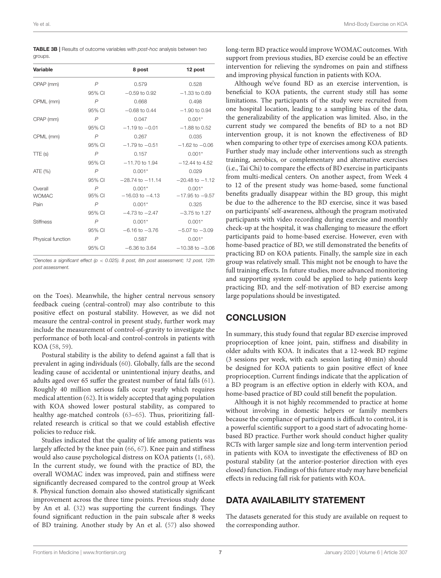<span id="page-6-0"></span>TABLE 3B | Results of outcome variables with post-hoc analysis between two groups.

| Variable                |                          | 8 post                          | 12 post                         |
|-------------------------|--------------------------|---------------------------------|---------------------------------|
| OPAP (mm)               | $\overline{P}$           | 0.579                           | 0.528                           |
|                         | 95% CI                   | $-0.59$ to 0.92                 | $-1.33$ to 0.69                 |
| OPML (mm)               | $\overline{P}$           | 0.668                           | 0.498                           |
|                         | 95% CI                   | $-0.68$ to 0.44                 | $-1.90$ to 0.94                 |
| CPAP (mm)               | $\overline{P}$           | 0.047                           | $0.001*$                        |
|                         | 95% CI                   | $-1.19$ to $-0.01$              | $-1.88$ to 0.52                 |
| CPML (mm)               | $\overline{P}$           | 0.267                           | 0.035                           |
|                         | 95% CI                   | $-1.79$ to $-0.51$              | $-1.62$ to $-0.06$              |
| TTE (s)                 | $\overline{P}$           | 0.157                           | $0.001*$                        |
|                         | 95% CI                   | $-11.70$ to 1.94                | $-12.44$ to 4.52                |
| ATE (%)                 | $\overline{P}$           | $0.001*$                        | 0.029                           |
|                         | 95% CI                   | $-28.74$ to $-11.14$            | $-20.48$ to $-1.12$             |
| Overall<br><b>WOMAC</b> | $\overline{P}$<br>95% CI | $0.001*$<br>$-16.03$ to $-4.13$ | $0.001*$<br>$-17.95$ to $-9.57$ |
| Pain                    | $\overline{P}$           | $0.001*$                        | 0.325                           |
|                         | 95% CI                   | $-4.73$ to $-2.47$              | $-3.75$ to 1.27                 |
| <b>Stiffness</b>        | $\overline{P}$           | $0.001*$                        | $0.001*$                        |
|                         | 95% CI                   | $-6.16$ to $-3.76$              | $-5.07$ to $-3.09$              |
| Physical function       | $\overline{P}$           | 0.587                           | $0.001*$                        |
|                         | 95% CI                   | $-6.36$ to 3.64                 | $-10.38$ to $-3.06$             |

\*Denotes a significant effect ( $p < 0.025$ ). 8 post, 8th post assessment; 12 post, 12th post assessment.

on the Toes). Meanwhile, the higher central nervous sensory feedback cueing (central-control) may also contribute to this positive effect on postural stability. However, as we did not measure the central-control in present study, further work may include the measurement of control-of-gravity to investigate the performance of both local-and control-controls in patients with KOA [\(58,](#page-8-25) [59\)](#page-8-26).

Postural stability is the ability to defend against a fall that is prevalent in aging individuals [\(60\)](#page-8-27). Globally, falls are the second leading cause of accidental or unintentional injury deaths, and adults aged over 65 suffer the greatest number of fatal falls [\(61\)](#page-8-28). Roughly 40 million serious falls occur yearly which requires medical attention [\(62\)](#page-8-29). It is widely accepted that aging population with KOA showed lower postural stability, as compared to healthy age-matched controls [\(63–](#page-9-0)[65\)](#page-9-1). Thus, prioritizing fallrelated research is critical so that we could establish effective policies to reduce risk.

Studies indicated that the quality of life among patients was largely affected by the knee pain [\(66,](#page-9-2) [67\)](#page-9-3). Knee pain and stiffness would also cause psychological distress on KOA patients [\(1,](#page-7-0) [68\)](#page-9-4). In the current study, we found with the practice of BD, the overall WOMAC index was improved, pain and stiffness were significantly decreased compared to the control group at Week 8. Physical function domain also showed statistically significant improvement across the three time points. Previous study done by An et al. [\(32\)](#page-8-2) was supporting the current findings. They found significant reduction in the pain subscale after 8 weeks of BD training. Another study by An et al. [\(57\)](#page-8-24) also showed long-term BD practice would improve WOMAC outcomes. With support from previous studies, BD exercise could be an effective intervention for relieving the syndromes on pain and stiffness and improving physical function in patients with KOA.

Although we've found BD as an exercise intervention, is beneficial to KOA patients, the current study still has some limitations. The participants of the study were recruited from one hospital location, leading to a sampling bias of the data, the generalizability of the application was limited. Also, in the current study we compared the benefits of BD to a not BD intervention group, it is not known the effectiveness of BD when comparing to other type of exercises among KOA patients. Further study may include other interventions such as strength training, aerobics, or complementary and alternative exercises (i.e., Tai Chi) to compare the effects of BD exercise in participants from multi-medical centers. On another aspect, from Week 4 to 12 of the present study was home-based, some functional benefits gradually disappear within the BD group, this might be due to the adherence to the BD exercise, since it was based on participants' self-awareness, although the program motivated participants with video recording during exercise and monthly check-up at the hospital, it was challenging to measure the effort participants paid to home-based exercise. However, even with home-based practice of BD, we still demonstrated the benefits of practicing BD on KOA patients. Finally, the sample size in each group was relatively small. This might not be enough to have the full training effects. In future studies, more advanced monitoring and supporting system could be applied to help patients keep practicing BD, and the self-motivation of BD exercise among large populations should be investigated.

## **CONCLUSION**

In summary, this study found that regular BD exercise improved proprioception of knee joint, pain, stiffness and disability in older adults with KOA. It indicates that a 12-week BD regime (3 sessions per week, with each session lasting 40 min) should be designed for KOA patients to gain positive effect of knee proprioception. Current findings indicate that the application of a BD program is an effective option in elderly with KOA, and home-based practice of BD could still benefit the population.

Although it is not highly recommended to practice at home without involving in domestic helpers or family members because the compliance of participants is difficult to control, it is a powerful scientific support to a good start of advocating homebased BD practice. Further work should conduct higher quality RCTs with larger sample size and long-term intervention period in patients with KOA to investigate the effectiveness of BD on postural stability (at the anterior-posterior direction with eyes closed) function. Findings of this future study may have beneficial effects in reducing fall risk for patients with KOA.

## DATA AVAILABILITY STATEMENT

The datasets generated for this study are available on request to the corresponding author.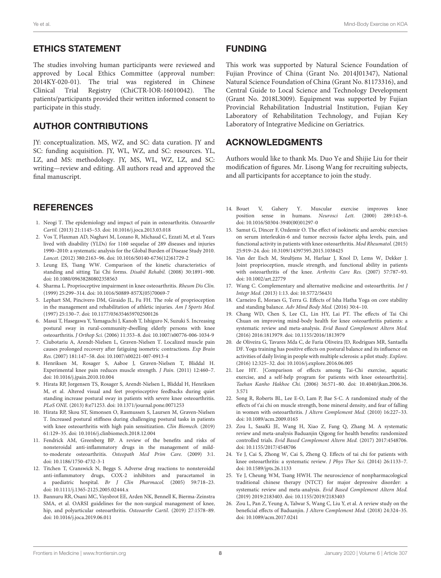## ETHICS STATEMENT

The studies involving human participants were reviewed and approved by Local Ethics Committee (approval number: 2014KY-020-01). The trial was registered in Chinese Clinical Trial Registry (ChiCTR-IOR-16010042). The patients/participants provided their written informed consent to participate in this study.

## AUTHOR CONTRIBUTIONS

JY: conceptualization. MS, WZ, and SC: data curation. JY and SC: funding acquisition. JY, WL, WZ, and SC: resources. YL, LZ, and MS: methodology. JY, MS, WL, WZ, LZ, and SC: writing—review and editing. All authors read and approved the final manuscript.

# **REFERENCES**

- <span id="page-7-0"></span>1. Neogi T. The epidemiology and impact of pain in osteoarthritis. Osteoarthr Cartil. (2013) 21:1145–53. doi: [10.1016/j.joca.2013.03.018](https://doi.org/10.1016/j.joca.2013.03.018)
- <span id="page-7-1"></span>2. Vos T, Flaxman AD, Naghavi M, Lozano R, Michaud C, Ezzati M, et al. Years lived with disability (YLDs) for 1160 sequelae of 289 diseases and injuries 1990–2010: a systematic analysis for the Global Burden of Disease Study 2010. Lancet. (2012) 380:2163–96. doi: [10.1016/S0140-6736\(12\)61729-2](https://doi.org/10.1016/S0140-6736(12)61729-2)
- <span id="page-7-2"></span>3. Leung ES, Tsang WW. Comparison of the kinetic characteristics of standing and sitting Tai Chi forms. Disabil Rehabil. (2008) 30:1891–900. doi: [10.1080/09638280802358563](https://doi.org/10.1080/09638280802358563)
- <span id="page-7-3"></span>4. Sharma L. Proprioceptive impairment in knee osteoarthritis. Rheum Dis Clin. (1999) 25:299–314. doi: [10.1016/S0889-857X\(05\)70069-7](https://doi.org/10.1016/S0889-857X(05)70069-7)
- <span id="page-7-4"></span>5. Lephart SM, Pincivero DM, Giraido JL, Fu FH. The role of proprioception in the management and rehabilitation of athletic injuries. Am J Sports Med. (1997) 25:130–7. doi: [10.1177/036354659702500126](https://doi.org/10.1177/036354659702500126)
- <span id="page-7-5"></span>6. Masui T, Hasegawa Y, Yamaguchi J, Kanoh T, Ishiguro N, Suzuki S. Increasing postural sway in rural-community-dwelling elderly persons with knee osteoarthritis. J Orthop Sci. (2006) 11:353–8. doi: [10.1007/s00776-006-1034-9](https://doi.org/10.1007/s00776-006-1034-9)
- <span id="page-7-6"></span>7. Ciubotariu A, Arendt-Nielsen L, Graven-Nielsen T. Localized muscle pain causes prolonged recovery after fatiguing isometric contractions. Exp Brain Res. (2007) 181:147–58. doi: [10.1007/s00221-007-0913-4](https://doi.org/10.1007/s00221-007-0913-4)
- <span id="page-7-7"></span>8. Henriksen M, Rosager S, Aaboe J, Graven-Nielsen T, Bliddal H. Experimental knee pain reduces muscle strength. J Pain. (2011) 12:460–7. doi: [10.1016/j.jpain.2010.10.004](https://doi.org/10.1016/j.jpain.2010.10.004)
- <span id="page-7-8"></span>9. Hirata RP, Jorgensen TS, Rosager S, Arendt-Nielsen L, Bliddal H, Henriksen M, et al. Altered visual and feet proprioceptive feedbacks during quiet standing increase postural sway in patients with severe knee osteoarthritis. PLoS ONE. (2013) 8:e71253. doi: [10.1371/journal.pone.0071253](https://doi.org/10.1371/journal.pone.0071253)
- <span id="page-7-9"></span>10. Hirata RP, Skou ST, Simonsen O, Rasmussen S, Laursen M, Graven-Nielsen T. Increased postural stiffness during challenging postural tasks in patients with knee osteoarthritis with high pain sensitization. Clin Biomech. (2019) 61:129–35. doi: [10.1016/j.clinbiomech.2018.12.004](https://doi.org/10.1016/j.clinbiomech.2018.12.004)
- <span id="page-7-10"></span>11. Fendrick AM, Greenberg BP. A review of the benefits and risks of nonsteroidal anti-inflammatory drugs in the management of mildto-moderate osteoarthritis. Osteopath Med Prim Care. (2009) 3:1. doi: [10.1186/1750-4732-3-1](https://doi.org/10.1186/1750-4732-3-1)
- <span id="page-7-11"></span>12. Titchen T, Cranswick N, Beggs S. Adverse drug reactions to nonsteroidal anti-inflammatory drugs, COX-2 inhibitors and paracetamol in a paediatric hospital. Br J Clin Pharmacol. (2005) 59:718–23. doi: [10.1111/j.1365-2125.2005.02444.x](https://doi.org/10.1111/j.1365-2125.2005.02444.x)
- <span id="page-7-12"></span>13. Bannuru RR, Osani MC, Vaysbrot EE, Arden NK, Bennell K, Bierma-Zeinstra SMA, et al. OARSI guidelines for the non-surgical management of knee, hip, and polyarticular osteoarthritis. Osteoarthr Cartil. (2019) 27:1578–89. doi: [10.1016/j.joca.2019.06.011](https://doi.org/10.1016/j.joca.2019.06.011)

#### FUNDING

This work was supported by Natural Science Foundation of Fujian Province of China (Grant No. 2014J01347), National Natural Science Foundation of China (Grant No. 81173316), and Central Guide to Local Science and Technology Development (Grant No. 2018L3009). Equipment was supported by Fujian Provincial Rehabilitation Industrial Institution, Fujian Key Laboratory of Rehabilitation Technology, and Fujian Key Laboratory of Integrative Medicine on Geriatrics.

## ACKNOWLEDGMENTS

Authors would like to thank Ms. Duo Ye and Shijie Liu for their modification of figures. Mr. Lisong Wang for recruiting subjects, and all participants for acceptance to join the study.

- <span id="page-7-13"></span>14. Bouet V, Gahery Y. Muscular exercise improves knee position sense in humans. Neurosci Lett. (2000) 289:143–6. doi: [10.1016/S0304-3940\(00\)01297-0](https://doi.org/10.1016/S0304-3940(00)01297-0)
- 15. Samut G, Dincer F, Ozdemir O. The effect of isokinetic and aerobic exercises on serum interleukin-6 and tumor necrosis factor alpha levels, pain, and functional activity in patients with knee osteoarthritis. Mod Rheumatol. (2015) 25:919–24. doi: [10.3109/14397595.2015.1038425](https://doi.org/10.3109/14397595.2015.1038425)
- <span id="page-7-14"></span>16. Van der Esch M, Steultjens M, Harlaar J, Knol D, Lems W, Dekker J. Joint proprioception, muscle strength, and functional ability in patients with osteoarthritis of the knee. Arthritis Care Res. (2007) 57:787–93. doi: [10.1002/art.22779](https://doi.org/10.1002/art.22779)
- <span id="page-7-15"></span>17. Wang C. Complementary and alternative medicine and osteoarthritis. Int J Integr Med. (2013) 1:13. doi: [10.5772/56431](https://doi.org/10.5772/56431)
- <span id="page-7-16"></span>18. Carneiro É, Moraes G, Terra G. Effects of Isha Hatha Yoga on core stability and standing balance. Adv Mind Body Med. (2016) 30:4–10.
- 19. Chang WD, Chen S, Lee CL, Lin HY, Lai PT. The effects of Tai Chi Chuan on improving mind-body health for knee osteoarthritis patients: a systematic review and meta-analysis. Evid Based Complement Altern Med. (2016) 2016:1813979. doi: [10.1155/2016/1813979](https://doi.org/10.1155/2016/1813979)
- 20. de Oliveira G, Tavares Mda C, de Faria Oliveira JD, Rodrigues MR, Santaella DF. Yoga training has positive effects on postural balance and its influence on activities of daily living in people with multiple sclerosis: a pilot study. Explore. (2016) 12:325–32. doi: [10.1016/j.explore.2016.06.005](https://doi.org/10.1016/j.explore.2016.06.005)
- 21. Lee HY. [Comparison of effects among Tai-Chi exercise, aquatic exercise, and a self-help program for patients with knee osteoarthritis]. Taehan Kanho Hakhoe Chi. [\(2006\) 36:571–80. doi: 10.4040/jkan.2006.36.](https://doi.org/10.4040/jkan.2006.36.3.571) 3.571
- <span id="page-7-17"></span>22. Song R, Roberts BL, Lee E-O, Lam P, Bae S-C. A randomized study of the effects of t'ai chi on muscle strength, bone mineral density, and fear of falling in women with osteoarthritis. J Altern Complement Med. (2010) 16:227–33. doi: [10.1089/acm.2009.0165](https://doi.org/10.1089/acm.2009.0165)
- <span id="page-7-18"></span>23. Zou L, SasaKi JE, Wang H, Xiao Z, Fang Q, Zhang M. A systematic review and meta-analysis Baduanjin Qigong for health benefits: randomized controlled trials. Evid Based Complement Altern Med. (2017) 2017:4548706. doi: [10.1155/2017/4548706](https://doi.org/10.1155/2017/4548706)
- <span id="page-7-19"></span>24. Ye J, Cai S, Zhong W, Cai S, Zheng Q. Effects of tai chi for patients with knee osteoarthritis: a systematic review. J Phys Ther Sci. (2014) 26:1133–7. doi: [10.1589/jpts.26.1133](https://doi.org/10.1589/jpts.26.1133)
- <span id="page-7-20"></span>25. Ye J, Cheung WM, Tsang HWH. The neuroscience of nonpharmacological traditional chinese therapy (NTCT) for major depressive disorder: a systematic review and meta-analysis. Evid Based Complement Altern Med. (2019) 2019:2183403. doi: [10.1155/2019/2183403](https://doi.org/10.1155/2019/2183403)
- <span id="page-7-21"></span>26. Zou L, Pan Z, Yeung A, Talwar S, Wang C, Liu Y, et al. A review study on the beneficial effects of Baduanjin. J Altern Complement Med. (2018) 24:324–35. doi: [10.1089/acm.2017.0241](https://doi.org/10.1089/acm.2017.0241)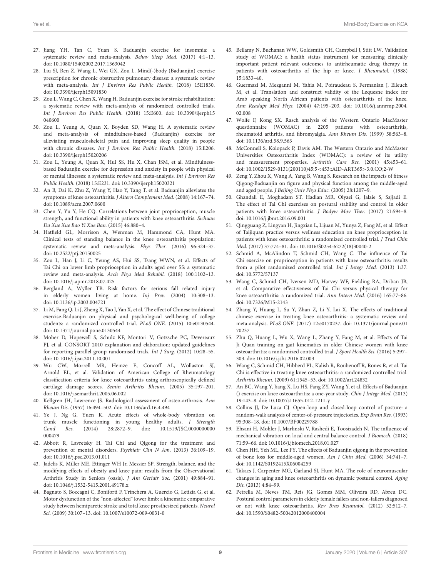- <span id="page-8-0"></span>27. Jiang YH, Tan C, Yuan S. Baduanjin exercise for insomnia: a systematic review and meta-analysis. Behav Sleep Med. (2017) 4:1–13. doi: [10.1080/15402002.2017.1363042](https://doi.org/10.1080/15402002.2017.1363042)
- 28. Liu SJ, Ren Z, Wang L, Wei GX, Zou L. Mind(-)body (Baduanjin) exercise prescription for chronic obstructive pulmonary disease: a systematic review with meta-analysis. Int J Environ Res Public Health. (2018) 15E1830. doi: [10.3390/ijerph15091830](https://doi.org/10.3390/ijerph15091830)
- 29. Zou L, Wang C, Chen X, Wang H. Baduanjin exercise for stroke rehabilitation: a systematic review with meta-analysis of randomized controlled trials. Int J Environ Res Public Health. [\(2018\) 15:E600. doi: 10.3390/ijerph15](https://doi.org/10.3390/ijerph15040600) 040600
- 30. Zou L, Yeung A, Quan X, Boyden SD, Wang H. A systematic review and meta-analysis of mindfulness-based (Baduanjin) exercise for alleviating musculoskeletal pain and improving sleep quality in people with chronic diseases. Int J Environ Res Public Health. (2018) 15:E206. doi: [10.3390/ijerph15020206](https://doi.org/10.3390/ijerph15020206)
- <span id="page-8-1"></span>31. Zou L, Yeung A, Quan X, Hui SS, Hu X, Chan JSM, et al. Mindfulnessbased Baduanjin exercise for depression and anxiety in people with physical or mental illnesses: a systematic review and meta-analysis. Int J Environ Res Public Health. (2018) 15:E231. doi: [10.3390/ijerph15020321](https://doi.org/10.3390/ijerph15020321)
- <span id="page-8-2"></span>32. An B, Dai K, Zhu Z, Wang Y, Hao Y, Tang T, et al. Baduanjin alleviates the symptoms of knee osteoarthritis. J Altern Complement Med. (2008) 14:167–74. doi: [10.1089/acm.2007.0600](https://doi.org/10.1089/acm.2007.0600)
- <span id="page-8-3"></span>33. Chen Y, Yu Y, He CQ. Correlations between joint proprioception, muscle strength, and functional ability in patients with knee osteoarthritis. Sichuan Da Xue Xue Bao Yi Xue Ban. (2015) 46:880–4.
- 34. Hatfield GL, Morrison A, Wenman M, Hammond CA, Hunt MA. Clinical tests of standing balance in the knee osteoarthritis population: systematic review and meta-analysis. Phys Ther. (2016) 96:324–37. doi: [10.2522/ptj.20150025](https://doi.org/10.2522/ptj.20150025)
- <span id="page-8-4"></span>35. Zou L, Han J, Li C, Yeung AS, Hui SS, Tsang WWN, et al. Effects of Tai Chi on lower limb proprioception in adults aged over 55: a systematic review and meta-analysis. Arch Phys Med Rehabil. (2018) 100:1102–13. doi: [10.1016/j.apmr.2018.07.425](https://doi.org/10.1016/j.apmr.2018.07.425)
- <span id="page-8-5"></span>36. Bergland A, Wyller TB. Risk factors for serious fall related injury in elderly women living at home. Inj Prev. (2004) 10:308–13. doi: [10.1136/ip.2003.004721](https://doi.org/10.1136/ip.2003.004721)
- <span id="page-8-6"></span>37. Li M, Fang Q, Li J, Zheng X, Tao J, Yan X, et al. The effect of Chinese traditional exercise-Baduanjin on physical and psychological well-being of college students: a randomized controlled trial. PLoS ONE. (2015) 10:e0130544. doi: [10.1371/journal.pone.0130544](https://doi.org/10.1371/journal.pone.0130544)
- <span id="page-8-7"></span>38. Moher D, Hopewell S, Schulz KF, Montori V, Gotzsche PC, Devereaux PJ, et al. CONSORT 2010 explanation and elaboration: updated guidelines for reporting parallel group randomised trials. Int J Surg. (2012) 10:28–55. doi: [10.1016/j.ijsu.2011.10.001](https://doi.org/10.1016/j.ijsu.2011.10.001)
- <span id="page-8-8"></span>39. Wu CW, Morrell MR, Heinze E, Concoff AL, Wollaston SJ, Arnold EL, et al. Validation of American College of Rheumatology classification criteria for knee osteoarthritis using arthroscopically defined cartilage damage scores. Semin Arthritis Rheum. (2005) 35:197–201. doi: [10.1016/j.semarthrit.2005.06.002](https://doi.org/10.1016/j.semarthrit.2005.06.002)
- <span id="page-8-9"></span>40. Kellgren JH, Lawrence JS. Radiological assessment of osteo-arthrosis. Ann Rheum Dis. (1957) 16:494–502. doi: [10.1136/ard.16.4.494](https://doi.org/10.1136/ard.16.4.494)
- <span id="page-8-10"></span>41. Ye J, Ng G, Yuen K. Acute effects of whole-body vibration on trunk muscle functioning in young healthy adults. J Strength Cond Res. [\(2014\) 28:2872–9. doi: 10.1519/JSC.0000000000](https://doi.org/10.1519/JSC.0000000000000479) 000479
- <span id="page-8-11"></span>42. Abbott R, Lavretsky H. Tai Chi and Qigong for the treatment and prevention of mental disorders. Psychiatr Clin N Am. (2013) 36:109–19. doi: [10.1016/j.psc.2013.01.011](https://doi.org/10.1016/j.psc.2013.01.011)
- <span id="page-8-12"></span>43. Jadelis K, Miller ME, Ettinger WH Jr, Messier SP. Strength, balance, and the modifying effects of obesity and knee pain: results from the Observational Arthritis Study in Seniors (oasis). J Am Geriatr Soc. (2001) 49:884–91. doi: [10.1046/j.1532-5415.2001.49178.x](https://doi.org/10.1046/j.1532-5415.2001.49178.x)
- <span id="page-8-13"></span>44. Bagnato S, Boccagni C, Boniforti F, Trinchera A, Guercio G, Letizia G, et al. Motor dysfunction of the "non-affected" lower limb: a kinematic comparative study between hemiparetic stroke and total knee prosthesized patients. Neurol Sci. (2009) 30:107–13. doi: [10.1007/s10072-009-0031-0](https://doi.org/10.1007/s10072-009-0031-0)
- <span id="page-8-14"></span>45. Bellamy N, Buchanan WW, Goldsmith CH, Campbell J, Stitt LW. Validation study of WOMAC: a health status instrument for measuring clinically important patient relevant outcomes to antirheumatic drug therapy in patients with osteoarthritis of the hip or knee. J Rheumatol. (1988) 15:1833–40.
- 46. Guermazi M, Mezganni M, Yahia M, Poiraudeau S, Fermanian J, Elleuch M, et al. Translation and construct validity of the Lequesne index for Arab speaking North African patients with osteoarthritis of the knee. Ann Readapt Med Phys. [\(2004\) 47:195–203. doi: 10.1016/j.annrmp.2004.](https://doi.org/10.1016/j.annrmp.2004.02.008) 02.008
- <span id="page-8-15"></span>47. Wolfe F, Kong SX. Rasch analysis of the Western Ontario MacMaster questionnaire (WOMAC) in 2205 patients with osteoarthritis, rheumatoid arthritis, and fibromyalgia. Ann Rheum Dis. (1999) 58:563–8. doi: [10.1136/ard.58.9.563](https://doi.org/10.1136/ard.58.9.563)
- <span id="page-8-16"></span>48. McConnell S, Kolopack P, Davis AM. The Western Ontario and McMaster Universities Osteoarthritis Index (WOMAC): a review of its utility and measurement properties. Arthritis Care Res. (2001) 45:453–61. doi: [10.1002/1529-0131\(200110\)45:5](https://doi.org/10.1002/1529-0131(200110)45:5$<$453::AID-ART365$>$3.0.CO)<453::AID-ART365>3.0.CO;2-W
- <span id="page-8-17"></span>49. Zeng Y, Zhou X, Wang A, Yang B, Wang S. Research on the impacts of fitness Qigong·Baduanjin on figure and physical function among the middle-aged and aged people. J Beijing Univ Phys Educ. (2005) 28:1207–9.
- <span id="page-8-18"></span>50. Ghandali E, Moghadam ST, Hadian MR, Olyaei G, Jalaie S, Sajjadi E. The effect of Tai Chi exercises on postural stability and control in older patients with knee osteoarthritis. J Bodyw Mov Ther. (2017) 21:594–8. doi: [10.1016/j.jbmt.2016.09.001](https://doi.org/10.1016/j.jbmt.2016.09.001)
- <span id="page-8-19"></span>51. Qingguang Z, Lingyan H, Jingxian L, Lijuan M, Yunya Z, Fang M, et al. Effect of Taijiquan practice versus wellness education on knee proprioception in patients with knee osteoarthritis: a randomized controlled trial. J Trad Chin Med. (2017) 37:774–81. doi: [10.1016/S0254-6272\(18\)30040-2](https://doi.org/10.1016/S0254-6272(18)30040-2)
- <span id="page-8-20"></span>52. Schmid A, McAlindon T, Schmid CH, Wang C. The influence of Tai Chi exercise on proprioception in patients with knee osteoarthritis: results from a pilot randomized controlled trial. Int J Integr Med. (2013) 1:37. doi: [10.5772/57137](https://doi.org/10.5772/57137)
- <span id="page-8-21"></span>53. Wang C, Schmid CH, Iversen MD, Harvey WF, Fielding RA, Driban JB, et al. Comparative effectiveness of Tai Chi versus physical therapy for knee osteoarthritis: a randomized trial. Ann Intern Med. (2016) 165:77–86. doi: [10.7326/M15-2143](https://doi.org/10.7326/M15-2143)
- 54. Zhang Y, Huang L, Su Y, Zhan Z, Li Y, Lai X. The effects of traditional chinese exercise in treating knee osteoarthritis: a systematic review and meta-analysis. PLoS ONE. [\(2017\) 12:e0170237. doi: 10.1371/journal.pone.01](https://doi.org/10.1371/journal.pone.0170237) 70237
- <span id="page-8-22"></span>55. Zhu Q, Huang L, Wu X, Wang L, Zhang Y, Fang M, et al. Effects of Tai Ji Quan training on gait kinematics in older Chinese women with knee osteoarthritis: a randomized controlled trial. J Sport Health Sci. (2016) 5:297– 303. doi: [10.1016/j.jshs.2016.02.003](https://doi.org/10.1016/j.jshs.2016.02.003)
- <span id="page-8-23"></span>56. Wang C, Schmid CH, Hibberd PL, Kalish R, Roubenoff R, Rones R, et al. Tai Chi is effective in treating knee osteoarthritis: a randomized controlled trial. Arthritis Rheum. (2009) 61:1545–53. doi: [10.1002/art.24832](https://doi.org/10.1002/art.24832)
- <span id="page-8-24"></span>57. An BC, Wang Y, Jiang X, Lu HS, Fang ZY, Wang Y, et al. Effects of Baduanjin () exercise on knee osteoarthritis: a one-year study. Chin J Integr Med. (2013) 19:143–8. doi: [10.1007/s11655-012-1211-y](https://doi.org/10.1007/s11655-012-1211-y)
- <span id="page-8-25"></span>58. Collins JJ, De Luca CJ. Open-loop and closed-loop control of posture: a random-walk analysis of center-of-pressure trajectories. Exp Brain Res. (1993) 95:308–18. doi: [10.1007/BF00229788](https://doi.org/10.1007/BF00229788)
- <span id="page-8-26"></span>59. Ehsani H, Mohler J, Marlinski V, Rashedi E, Toosizadeh N. The influence of mechanical vibration on local and central balance control. J Biomech. (2018) 71:59–66. doi: [10.1016/j.jbiomech.2018.01.027](https://doi.org/10.1016/j.jbiomech.2018.01.027)
- <span id="page-8-27"></span>60. Chen HH, Yeh ML, Lee FY. The effects of Baduanjin qigong in the prevention of bone loss for middle-aged women. Am J Chin Med. (2006) 34:741–7. doi: [10.1142/S0192415X06004259](https://doi.org/10.1142/S0192415X06004259)
- <span id="page-8-28"></span>61. Takacs J, Carpenter MG, Garland SJ, Hunt MA. The role of neuromuscular changes in aging and knee osteoarthritis on dynamic postural control. Aging Dis. (2013) 4:84–99.
- <span id="page-8-29"></span>62. Petrella M, Neves TM, Reis JG, Gomes MM, Oliveira RD, Abreu DC. Postural control parameters in elderly female fallers and non-fallers diagnosed or not with knee osteoarthritis. Rev Bras Reumatol. (2012) 52:512–7. doi: [10.1590/S0482-50042012000400004](https://doi.org/10.1590/S0482-50042012000400004)